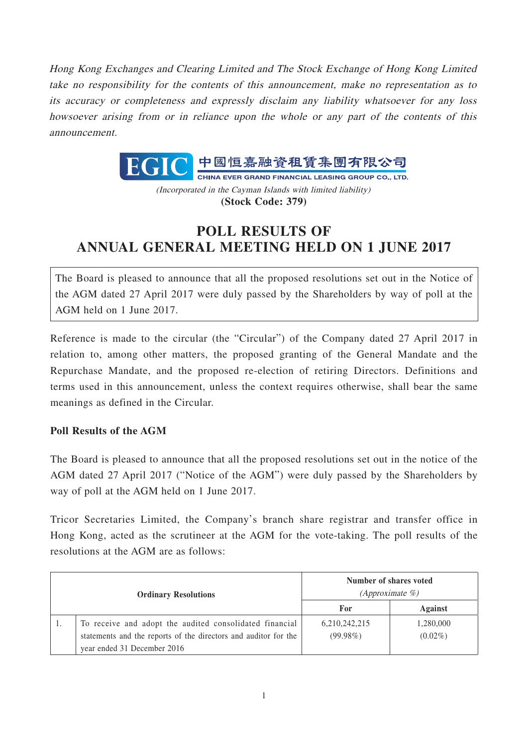Hong Kong Exchanges and Clearing Limited and The Stock Exchange of Hong Kong Limited take no responsibility for the contents of this announcement, make no representation as to its accuracy or completeness and expressly disclaim any liability whatsoever for any loss howsoever arising from or in reliance upon the whole or any part of the contents of this announcement.



(Incorporated in the Cayman Islands with limited liability) **(Stock Code: 379)**

## **POLL RESULTS OF ANNUAL GENERAL MEETING HELD ON 1 JUNE 2017**

The Board is pleased to announce that all the proposed resolutions set out in the Notice of the AGM dated 27 April 2017 were duly passed by the Shareholders by way of poll at the AGM held on 1 June 2017.

Reference is made to the circular (the "Circular") of the Company dated 27 April 2017 in relation to, among other matters, the proposed granting of the General Mandate and the Repurchase Mandate, and the proposed re-election of retiring Directors. Definitions and terms used in this announcement, unless the context requires otherwise, shall bear the same meanings as defined in the Circular.

## **Poll Results of the AGM**

The Board is pleased to announce that all the proposed resolutions set out in the notice of the AGM dated 27 April 2017 ("Notice of the AGM") were duly passed by the Shareholders by way of poll at the AGM held on 1 June 2017.

Tricor Secretaries Limited, the Company's branch share registrar and transfer office in Hong Kong, acted as the scrutineer at the AGM for the vote-taking. The poll results of the resolutions at the AGM are as follows:

| <b>Ordinary Resolutions</b> |                                                                 | Number of shares voted<br>$(Approximate \%)$ |            |
|-----------------------------|-----------------------------------------------------------------|----------------------------------------------|------------|
|                             |                                                                 | For                                          | Against    |
|                             | To receive and adopt the audited consolidated financial         | 6,210,242,215                                | 1,280,000  |
|                             | statements and the reports of the directors and auditor for the | $(99.98\%)$                                  | $(0.02\%)$ |
|                             | year ended 31 December 2016                                     |                                              |            |